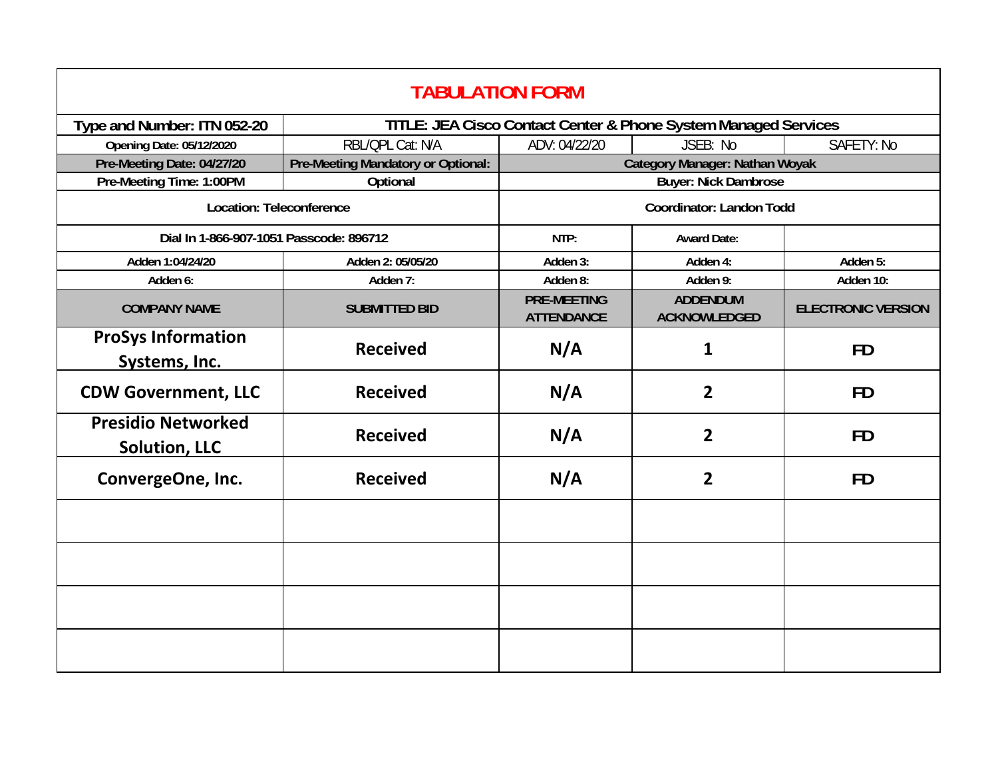| <b>TABULATION FORM</b>                            |                                    |                                                                 |                                        |                           |  |  |
|---------------------------------------------------|------------------------------------|-----------------------------------------------------------------|----------------------------------------|---------------------------|--|--|
| Type and Number: ITN 052-20                       |                                    | TITLE: JEA Cisco Contact Center & Phone System Managed Services |                                        |                           |  |  |
| <b>Opening Date: 05/12/2020</b>                   | RBL/QPL Cat: N/A                   | ADV: 04/22/20                                                   | JSEB: No                               | SAFETY: No                |  |  |
| Pre-Meeting Date: 04/27/20                        | Pre-Meeting Mandatory or Optional: | <b>Category Manager: Nathan Woyak</b>                           |                                        |                           |  |  |
| Pre-Meeting Time: 1:00PM                          | Optional                           | <b>Buyer: Nick Dambrose</b>                                     |                                        |                           |  |  |
| Location: Teleconference                          |                                    | Coordinator: Landon Todd                                        |                                        |                           |  |  |
| Dial In 1-866-907-1051 Passcode: 896712           |                                    | NTP:                                                            | <b>Award Date:</b>                     |                           |  |  |
| Adden 1:04/24/20                                  | Adden 2: 05/05/20                  | Adden 3:                                                        | Adden 4:                               | Adden 5:                  |  |  |
| Adden 6:                                          | Adden 7:                           | Adden 8:                                                        | Adden 9:                               | Adden 10:                 |  |  |
| <b>COMPANY NAME</b>                               | <b>SUBMITTED BID</b>               | <b>PRE-MEETING</b><br><b>ATTENDANCE</b>                         | <b>ADDENDUM</b><br><b>ACKNOWLEDGED</b> | <b>ELECTRONIC VERSION</b> |  |  |
| <b>ProSys Information</b><br>Systems, Inc.        | <b>Received</b>                    | N/A                                                             | $\mathbf{1}$                           | <b>FD</b>                 |  |  |
| <b>CDW Government, LLC</b>                        | <b>Received</b>                    | N/A                                                             | $\overline{2}$                         | <b>FD</b>                 |  |  |
| <b>Presidio Networked</b><br><b>Solution, LLC</b> | <b>Received</b>                    | N/A                                                             | $\overline{2}$                         | <b>FD</b>                 |  |  |
| ConvergeOne, Inc.                                 | <b>Received</b>                    | N/A                                                             | $\overline{2}$                         | <b>FD</b>                 |  |  |
|                                                   |                                    |                                                                 |                                        |                           |  |  |
|                                                   |                                    |                                                                 |                                        |                           |  |  |
|                                                   |                                    |                                                                 |                                        |                           |  |  |
|                                                   |                                    |                                                                 |                                        |                           |  |  |